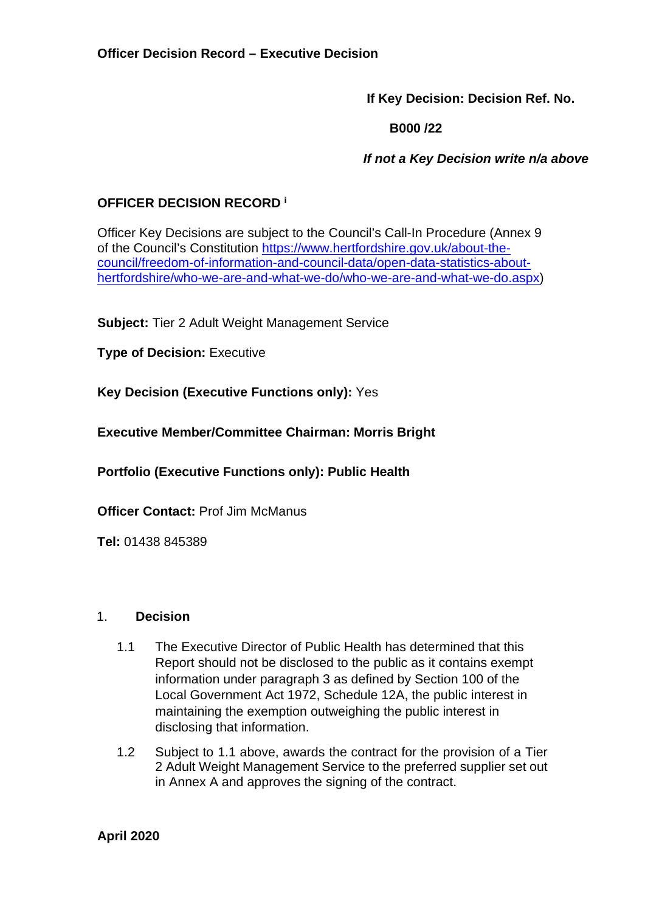**If Key Decision: Decision Ref. No.** 

 **B000 /22** 

 *If not a Key Decision write n/a above* 

# **OFFICER DECISION RECORD <sup>i</sup>**

Officer Key Decisions are subject to the Council's Call-In Procedure (Annex 9 of the Council's Constitution [https://www.hertfordshire.gov.uk/about-the](https://www.hertfordshire.gov.uk/about-the-council/freedom-of-information-and-council-data/open-data-statistics-about-hertfordshire/who-we-are-and-what-we-do/who-we-are-and-what-we-do.aspx)[council/freedom-of-information-and-council-data/open-data-statistics-about](https://www.hertfordshire.gov.uk/about-the-council/freedom-of-information-and-council-data/open-data-statistics-about-hertfordshire/who-we-are-and-what-we-do/who-we-are-and-what-we-do.aspx)[hertfordshire/who-we-are-and-what-we-do/who-we-are-and-what-we-do.aspx\)](https://www.hertfordshire.gov.uk/about-the-council/freedom-of-information-and-council-data/open-data-statistics-about-hertfordshire/who-we-are-and-what-we-do/who-we-are-and-what-we-do.aspx)

**Subject:** Tier 2 Adult Weight Management Service

**Type of Decision: Executive** 

**Key Decision (Executive Functions only):** Yes

**Executive Member/Committee Chairman: Morris Bright** 

**Portfolio (Executive Functions only): Public Health**

**Officer Contact:** Prof Jim McManus

**Tel:** 01438 845389

#### 1. **Decision**

- 1.1 The Executive Director of Public Health has determined that this Report should not be disclosed to the public as it contains exempt information under paragraph 3 as defined by Section 100 of the Local Government Act 1972, Schedule 12A, the public interest in maintaining the exemption outweighing the public interest in disclosing that information.
- 1.2 Subject to 1.1 above, awards the contract for the provision of a Tier 2 Adult Weight Management Service to the preferred supplier set out in Annex A and approves the signing of the contract.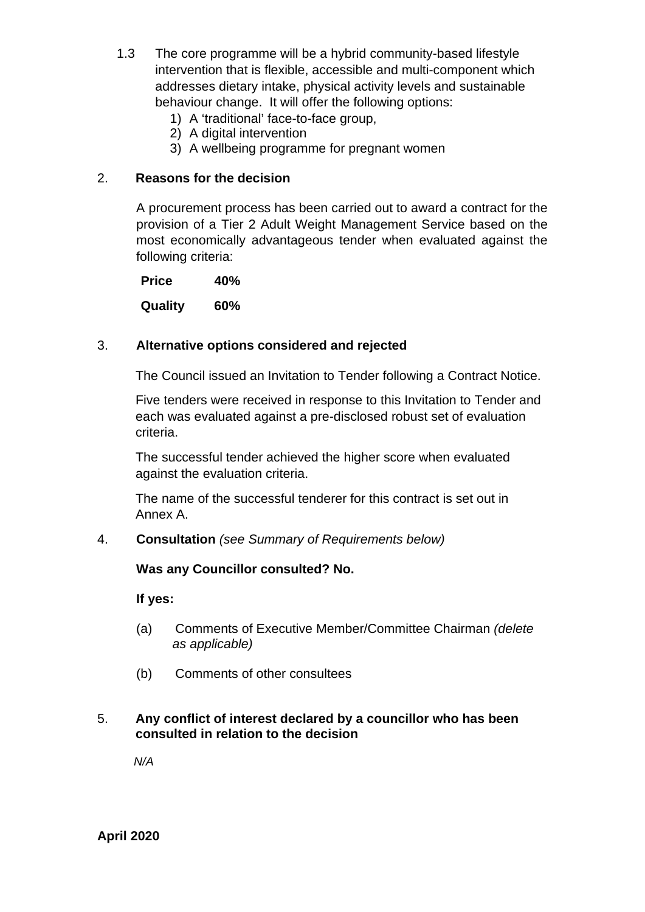- 1.3 The core programme will be a hybrid community-based lifestyle intervention that is flexible, accessible and multi-component which addresses dietary intake, physical activity levels and sustainable behaviour change. It will offer the following options:
	- 1) A 'traditional' face-to-face group,
	- 2) A digital intervention
	- 3) A wellbeing programme for pregnant women

#### 2. **Reasons for the decision**

A procurement process has been carried out to award a contract for the provision of a Tier 2 Adult Weight Management Service based on the most economically advantageous tender when evaluated against the following criteria:

 **Price 40% Quality 60%** 

#### 3. **Alternative options considered and rejected**

The Council issued an Invitation to Tender following a Contract Notice.

Five tenders were received in response to this Invitation to Tender and each was evaluated against a pre-disclosed robust set of evaluation criteria.

The successful tender achieved the higher score when evaluated against the evaluation criteria.

The name of the successful tenderer for this contract is set out in Annex A.

#### 4. **Consultation** *(see Summary of Requirements below)*

#### **Was any Councillor consulted? No.**

**If yes:** 

- (a) Comments of Executive Member/Committee Chairman *(delete as applicable)*
- (b) Comments of other consultees

#### 5. **Any conflict of interest declared by a councillor who has been consulted in relation to the decision**

 *N/A* 

**April 2020**